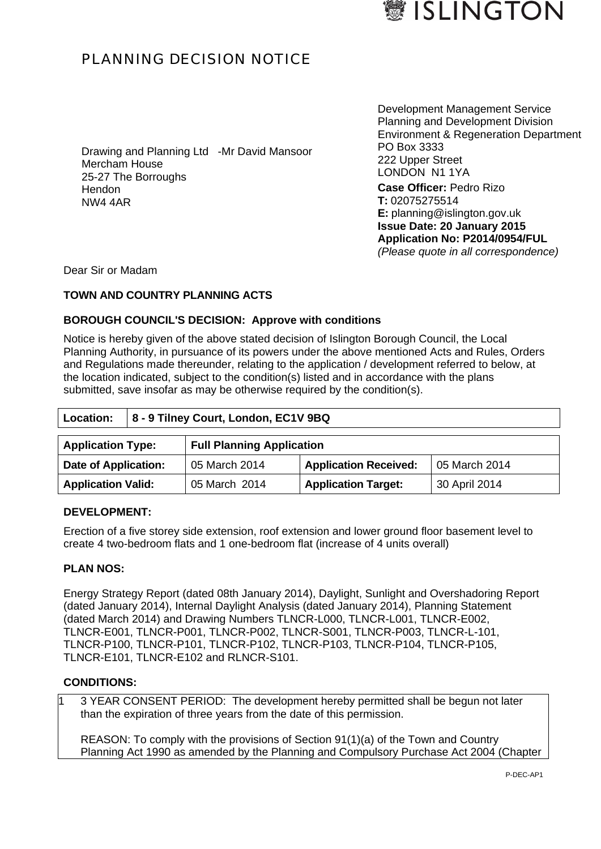

# PLANNING DECISION NOTICE

Drawing and Planning Ltd -Mr David Mansoor Mercham House 25-27 The Borroughs **Hendon** NW4 4AR

Development Management Service Planning and Development Division Environment & Regeneration Department PO Box 3333 222 Upper Street LONDON N1 1YA **Case Officer:** Pedro Rizo **T:** 02075275514 **E:** planning@islington.gov.uk **Issue Date: 20 January 2015 Application No: P2014/0954/FUL** *(Please quote in all correspondence)*

Dear Sir or Madam

# **TOWN AND COUNTRY PLANNING ACTS**

#### **BOROUGH COUNCIL'S DECISION: Approve with conditions**

Notice is hereby given of the above stated decision of Islington Borough Council, the Local Planning Authority, in pursuance of its powers under the above mentioned Acts and Rules, Orders and Regulations made thereunder, relating to the application / development referred to below, at the location indicated, subject to the condition(s) listed and in accordance with the plans submitted, save insofar as may be otherwise required by the condition(s).

| 8 - 9 Tilney Court, London, EC1V 9BQ<br>Location: |  |                                  |                              |               |
|---------------------------------------------------|--|----------------------------------|------------------------------|---------------|
| <b>Application Type:</b>                          |  | <b>Full Planning Application</b> |                              |               |
| <b>Date of Application:</b>                       |  | 05 March 2014                    | <b>Application Received:</b> | 05 March 2014 |
| <b>Application Valid:</b>                         |  | 05 March 2014                    | <b>Application Target:</b>   | 30 April 2014 |

### **DEVELOPMENT:**

Erection of a five storey side extension, roof extension and lower ground floor basement level to create 4 two-bedroom flats and 1 one-bedroom flat (increase of 4 units overall)

### **PLAN NOS:**

Energy Strategy Report (dated 08th January 2014), Daylight, Sunlight and Overshadoring Report (dated January 2014), Internal Daylight Analysis (dated January 2014), Planning Statement (dated March 2014) and Drawing Numbers TLNCR-L000, TLNCR-L001, TLNCR-E002, TLNCR-E001, TLNCR-P001, TLNCR-P002, TLNCR-S001, TLNCR-P003, TLNCR-L-101, TLNCR-P100, TLNCR-P101, TLNCR-P102, TLNCR-P103, TLNCR-P104, TLNCR-P105, TLNCR-E101, TLNCR-E102 and RLNCR-S101.

#### **CONDITIONS:**

1 3 YEAR CONSENT PERIOD: The development hereby permitted shall be begun not later than the expiration of three years from the date of this permission.

REASON: To comply with the provisions of Section 91(1)(a) of the Town and Country Planning Act 1990 as amended by the Planning and Compulsory Purchase Act 2004 (Chapter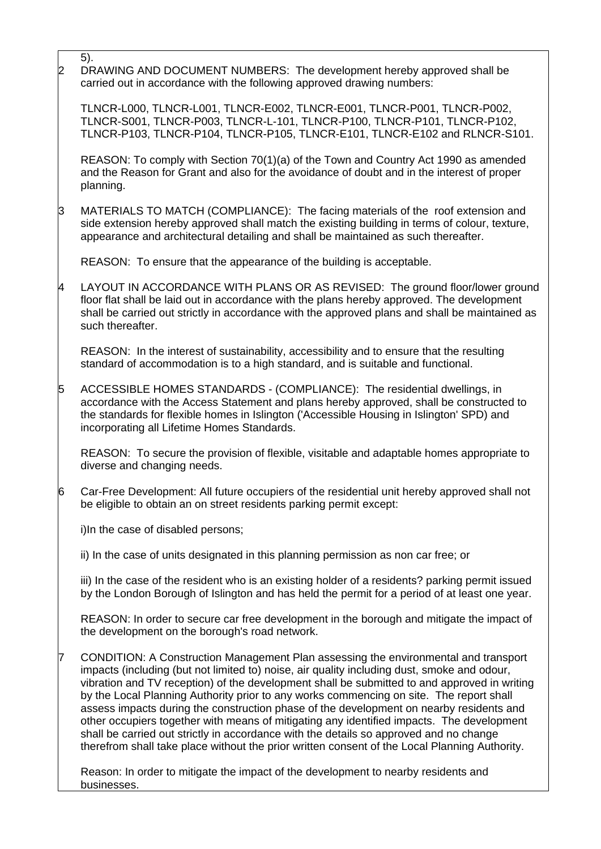| 2 | 5).<br>DRAWING AND DOCUMENT NUMBERS: The development hereby approved shall be<br>carried out in accordance with the following approved drawing numbers:                                                                                                                                                                                                                                                                                                                                                                                                                                                                                                                                                                                                          |
|---|------------------------------------------------------------------------------------------------------------------------------------------------------------------------------------------------------------------------------------------------------------------------------------------------------------------------------------------------------------------------------------------------------------------------------------------------------------------------------------------------------------------------------------------------------------------------------------------------------------------------------------------------------------------------------------------------------------------------------------------------------------------|
|   | TLNCR-L000, TLNCR-L001, TLNCR-E002, TLNCR-E001, TLNCR-P001, TLNCR-P002,<br>TLNCR-S001, TLNCR-P003, TLNCR-L-101, TLNCR-P100, TLNCR-P101, TLNCR-P102,<br>TLNCR-P103, TLNCR-P104, TLNCR-P105, TLNCR-E101, TLNCR-E102 and RLNCR-S101.                                                                                                                                                                                                                                                                                                                                                                                                                                                                                                                                |
|   | REASON: To comply with Section 70(1)(a) of the Town and Country Act 1990 as amended<br>and the Reason for Grant and also for the avoidance of doubt and in the interest of proper<br>planning.                                                                                                                                                                                                                                                                                                                                                                                                                                                                                                                                                                   |
| 3 | MATERIALS TO MATCH (COMPLIANCE): The facing materials of the roof extension and<br>side extension hereby approved shall match the existing building in terms of colour, texture,<br>appearance and architectural detailing and shall be maintained as such thereafter.                                                                                                                                                                                                                                                                                                                                                                                                                                                                                           |
|   | REASON: To ensure that the appearance of the building is acceptable.                                                                                                                                                                                                                                                                                                                                                                                                                                                                                                                                                                                                                                                                                             |
| 4 | LAYOUT IN ACCORDANCE WITH PLANS OR AS REVISED: The ground floor/lower ground<br>floor flat shall be laid out in accordance with the plans hereby approved. The development<br>shall be carried out strictly in accordance with the approved plans and shall be maintained as<br>such thereafter.                                                                                                                                                                                                                                                                                                                                                                                                                                                                 |
|   | REASON: In the interest of sustainability, accessibility and to ensure that the resulting<br>standard of accommodation is to a high standard, and is suitable and functional.                                                                                                                                                                                                                                                                                                                                                                                                                                                                                                                                                                                    |
| 5 | ACCESSIBLE HOMES STANDARDS - (COMPLIANCE): The residential dwellings, in<br>accordance with the Access Statement and plans hereby approved, shall be constructed to<br>the standards for flexible homes in Islington ('Accessible Housing in Islington' SPD) and<br>incorporating all Lifetime Homes Standards.                                                                                                                                                                                                                                                                                                                                                                                                                                                  |
|   | REASON: To secure the provision of flexible, visitable and adaptable homes appropriate to<br>diverse and changing needs.                                                                                                                                                                                                                                                                                                                                                                                                                                                                                                                                                                                                                                         |
| 6 | Car-Free Development: All future occupiers of the residential unit hereby approved shall not<br>be eligible to obtain an on street residents parking permit except:                                                                                                                                                                                                                                                                                                                                                                                                                                                                                                                                                                                              |
|   | i) In the case of disabled persons;                                                                                                                                                                                                                                                                                                                                                                                                                                                                                                                                                                                                                                                                                                                              |
|   | ii) In the case of units designated in this planning permission as non car free; or                                                                                                                                                                                                                                                                                                                                                                                                                                                                                                                                                                                                                                                                              |
|   | iii) In the case of the resident who is an existing holder of a residents? parking permit issued<br>by the London Borough of Islington and has held the permit for a period of at least one year.                                                                                                                                                                                                                                                                                                                                                                                                                                                                                                                                                                |
|   | REASON: In order to secure car free development in the borough and mitigate the impact of<br>the development on the borough's road network.                                                                                                                                                                                                                                                                                                                                                                                                                                                                                                                                                                                                                      |
| 7 | CONDITION: A Construction Management Plan assessing the environmental and transport<br>impacts (including (but not limited to) noise, air quality including dust, smoke and odour,<br>vibration and TV reception) of the development shall be submitted to and approved in writing<br>by the Local Planning Authority prior to any works commencing on site. The report shall<br>assess impacts during the construction phase of the development on nearby residents and<br>other occupiers together with means of mitigating any identified impacts. The development<br>shall be carried out strictly in accordance with the details so approved and no change<br>therefrom shall take place without the prior written consent of the Local Planning Authority. |
|   | Reason: In order to mitigate the impact of the development to nearby residents and<br>businesses.                                                                                                                                                                                                                                                                                                                                                                                                                                                                                                                                                                                                                                                                |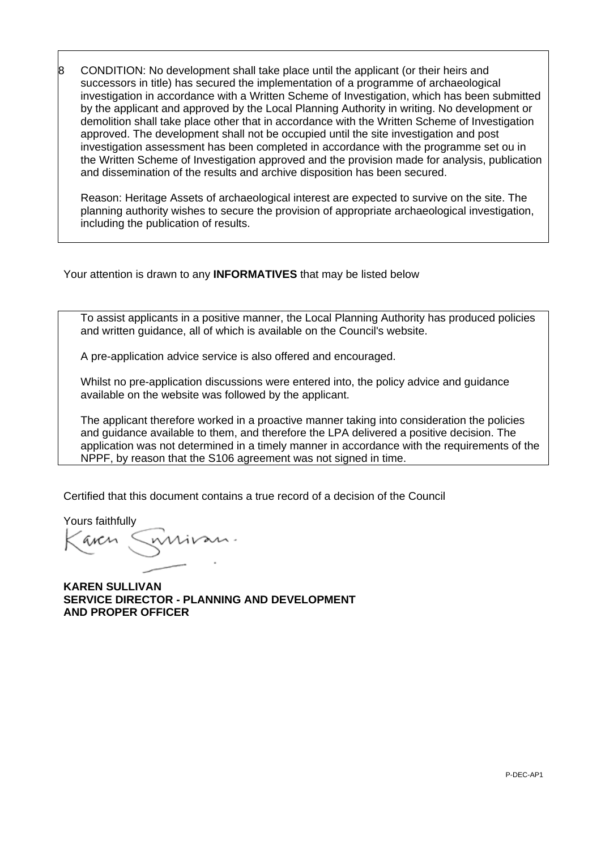8 CONDITION: No development shall take place until the applicant (or their heirs and successors in title) has secured the implementation of a programme of archaeological investigation in accordance with a Written Scheme of Investigation, which has been submitted by the applicant and approved by the Local Planning Authority in writing. No development or demolition shall take place other that in accordance with the Written Scheme of Investigation approved. The development shall not be occupied until the site investigation and post investigation assessment has been completed in accordance with the programme set ou in the Written Scheme of Investigation approved and the provision made for analysis, publication and dissemination of the results and archive disposition has been secured.

Reason: Heritage Assets of archaeological interest are expected to survive on the site. The planning authority wishes to secure the provision of appropriate archaeological investigation, including the publication of results.

Your attention is drawn to any **INFORMATIVES** that may be listed below

To assist applicants in a positive manner, the Local Planning Authority has produced policies and written guidance, all of which is available on the Council's website.

A pre-application advice service is also offered and encouraged.

Whilst no pre-application discussions were entered into, the policy advice and guidance available on the website was followed by the applicant.

The applicant therefore worked in a proactive manner taking into consideration the policies and guidance available to them, and therefore the LPA delivered a positive decision. The application was not determined in a timely manner in accordance with the requirements of the NPPF, by reason that the S106 agreement was not signed in time.

Certified that this document contains a true record of a decision of the Council

Yours faithfully

anci

**KAREN SULLIVAN SERVICE DIRECTOR - PLANNING AND DEVELOPMENT AND PROPER OFFICER**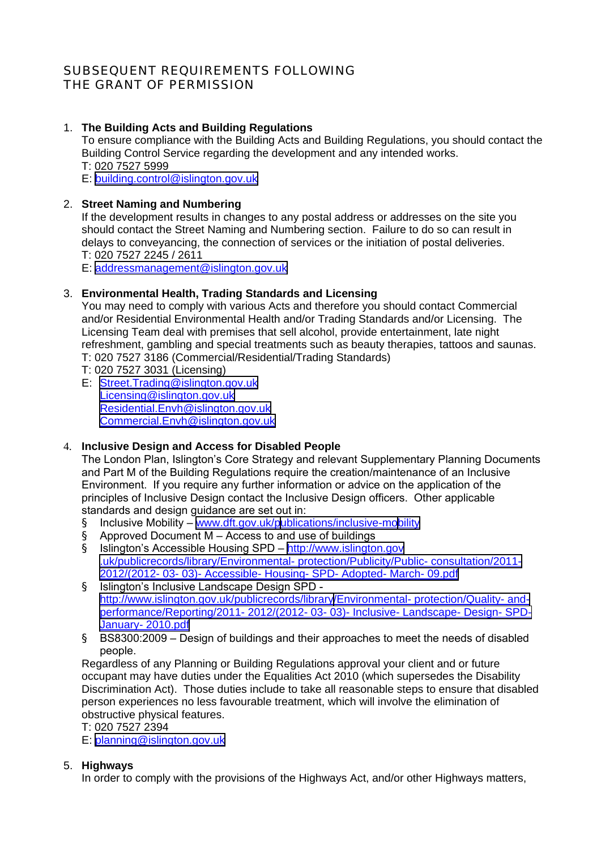# SUBSEQUENT REQUIREMENTS FOLLOWING THE GRANT OF PERMISSION

1. **The Building Acts and Building Regulations** To ensure compliance with the Building Acts and Building Regulations, you should contact the Building Control Service regarding the development and any intended works. T: 020 7527 5999

E: [building.control@islington.gov.uk](mailto:building.control@islington.gov.uk)

# 2. **Street Naming and Numbering**

If the development results in changes to any postal address or addresses on the site you should contact the Street Naming and Numbering section. Failure to do so can result in delays to conveyancing, the connection of services or the initiation of postal deliveries. T: 020 7527 2245 / 2611

E: [addressmanagement@islington.gov.uk](mailto:addressmanagement@islington.gov.uk)

# 3. **Environmental Health, Trading Standards and Licensing**

You may need to comply with various Acts and therefore you should contact Commercial and/or Residential Environmental Health and/or Trading Standards and/or Licensing. The Licensing Team deal with premises that sell alcohol, provide entertainment, late night refreshment, gambling and special treatments such as beauty therapies, tattoos and saunas. T: 020 7527 3186 (Commercial/Residential/Trading Standards)

- T: 020 7527 3031 (Licensing)
- E: [Street.Trading@islington.gov.uk](mailto:Street.Trading@islington.gov.uk) [Licensing@islington.gov.uk](mailto:Licensing@islington.gov.uk) [Residential.Envh@islington.gov.uk](mailto:Residential.Envh@islington.gov.uk) [Commercial.Envh@islington.gov.uk](mailto:Commercial.Envh@islington.gov.uk)

### 4. **Inclusive Design and Access for Disabled People**

The London Plan, Islington's Core Strategy and relevant Supplementary Planning Documents and Part M of the Building Regulations require the creation/maintenance of an Inclusive Environment. If you require any further information or advice on the application of the principles of Inclusive Design contact the Inclusive Design officers. Other applicable standards and design guidance are set out in:

- § Inclusive Mobility [www.dft.gov.uk/publications/inclusive-mobility](http://www.dft.gov.uk/publications/inclusive-mobility)
- § Approved Document M Access to and use of buildings<br>§ Islington's Accessible Housing SPD http://www.islingto
- § Islington's Accessible Housing SPD [http://www.islington.gov](http://www.islington.gov.uk/publicrecords/library/Environmental-protection/Publicity/Public-consultation/2011-2012/(2012-03-03)-Accessible-Housing-SPD-Adopted-March-09.pdf) [.uk/publicrecords/library/Environmental- protection/Publicity/Public- consultation/2011-](http://www.islington.gov.uk/publicrecords/library/Environmental-protection/Publicity/Public-consultation/2011-2012/(2012-03-03)-Accessible-Housing-SPD-Adopted-March-09.pdf) [2012/\(2012- 03- 03\)- Accessible- Housing- SPD- Adopted- March- 09.pdf](http://www.islington.gov.uk/publicrecords/library/Environmental-protection/Publicity/Public-consultation/2011-2012/(2012-03-03)-Accessible-Housing-SPD-Adopted-March-09.pdf)
- § Islington's Inclusive Landscape Design SPD [http://www.islington.gov.uk/publicrecords/library/Environmental- protection/Quality- and](http://www.islington.gov.uk/publicrecords/library/Environmental-protection/Quality-and-performance/Reporting/2011-2012/(2012-03-03)-Inclusive-Landscape-Design-SPD-January-2010.pdf)[performance/Reporting/2011- 2012/\(2012- 03- 03\)- Inclusive- Landscape- Design- SPD-](http://www.islington.gov.uk/publicrecords/library/Environmental-protection/Quality-and-performance/Reporting/2011-2012/(2012-03-03)-Inclusive-Landscape-Design-SPD-January-2010.pdf)[January- 2010.pdf](http://www.islington.gov.uk/publicrecords/library/Environmental-protection/Quality-and-performance/Reporting/2011-2012/(2012-03-03)-Inclusive-Landscape-Design-SPD-January-2010.pdf)
- § BS8300:2009 Design of buildings and their approaches to meet the needs of disabled people.

Regardless of any Planning or Building Regulations approval your client and or future occupant may have duties under the Equalities Act 2010 (which supersedes the Disability Discrimination Act). Those duties include to take all reasonable steps to ensure that disabled person experiences no less favourable treatment, which will involve the elimination of obstructive physical features.

T: 020 7527 2394

E: [planning@islington.gov.uk](mailto:planning@islington.gov.uk)

### 5. **Highways**

In order to comply with the provisions of the Highways Act, and/or other Highways matters,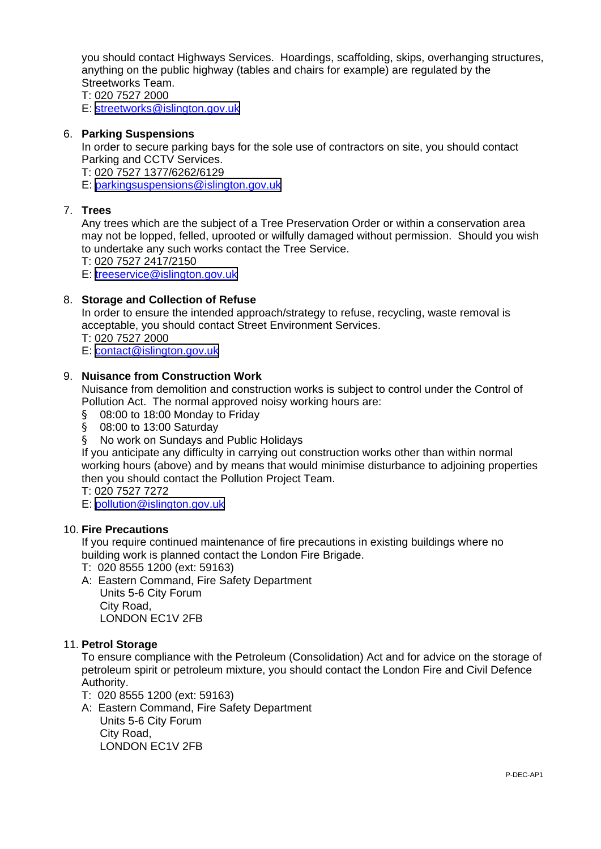you should contact Highways Services. Hoardings, scaffolding, skips, overhanging structures, anything on the public highway (tables and chairs for example) are regulated by the Streetworks Team.

T: 020 7527 2000 E: [streetworks@islington.gov.uk](mailto:streetworks@islington.gov.uk)

## 6. **Parking Suspensions**

In order to secure parking bays for the sole use of contractors on site, you should contact Parking and CCTV Services. T: 020 7527 1377/6262/6129 E: [parkingsuspensions@islington.gov.uk](mailto:parkingsuspensions@islington.gov.uk)

## 7. **Trees**

Any trees which are the subject of a Tree Preservation Order or within a conservation area may not be lopped, felled, uprooted or wilfully damaged without permission. Should you wish to undertake any such works contact the Tree Service.

T: 020 7527 2417/2150

E: [treeservice@islington.gov.uk](mailto:treeservice@islington.gov.uk)

### 8. **Storage and Collection of Refuse**

In order to ensure the intended approach/strategy to refuse, recycling, waste removal is acceptable, you should contact Street Environment Services.

T: 020 7527 2000 E: [contact@islington.gov.uk](mailto:contact@islington.gov.uk)

### 9. **Nuisance from Construction Work**

Nuisance from demolition and construction works is subject to control under the Control of Pollution Act. The normal approved noisy working hours are:

- § 08:00 to 18:00 Monday to Friday
- § 08:00 to 13:00 Saturday
- § No work on Sundays and Public Holidays

If you anticipate any difficulty in carrying out construction works other than within normal working hours (above) and by means that would minimise disturbance to adjoining properties then you should contact the Pollution Project Team.

T: 020 7527 7272

E: [pollution@islington.gov.uk](mailto:pollution@islington.gov.uk)

#### 10. **Fire Precautions**

If you require continued maintenance of fire precautions in existing buildings where no building work is planned contact the London Fire Brigade.

- T: 020 8555 1200 (ext: 59163)
- A: Eastern Command, Fire Safety Department Units 5-6 City Forum City Road, LONDON EC1V 2FB

### 11. **Petrol Storage**

To ensure compliance with the Petroleum (Consolidation) Act and for advice on the storage of petroleum spirit or petroleum mixture, you should contact the London Fire and Civil Defence Authority.

- T: 020 8555 1200 (ext: 59163)
- A: Eastern Command, Fire Safety Department Units 5-6 City Forum City Road, LONDON EC1V 2FB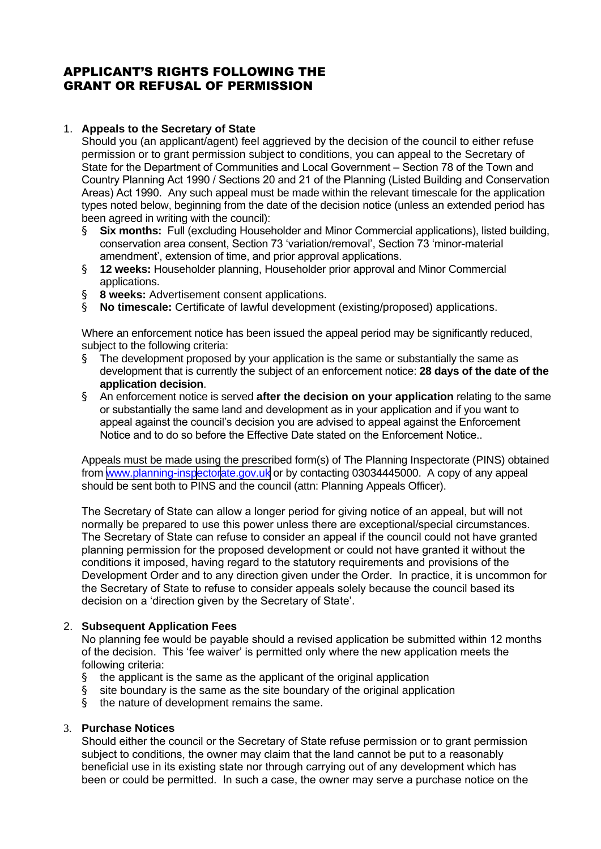# APPLICANT'S RIGHTS FOLLOWING THE GRANT OR REFUSAL OF PERMISSION

### 1. **Appeals to the Secretary of State**

Should you (an applicant/agent) feel aggrieved by the decision of the council to either refuse permission or to grant permission subject to conditions, you can appeal to the Secretary of State for the Department of Communities and Local Government – Section 78 of the Town and Country Planning Act 1990 / Sections 20 and 21 of the Planning (Listed Building and Conservation Areas) Act 1990. Any such appeal must be made within the relevant timescale for the application types noted below, beginning from the date of the decision notice (unless an extended period has been agreed in writing with the council):

- § **Six months:** Full (excluding Householder and Minor Commercial applications), listed building, conservation area consent, Section 73 'variation/removal', Section 73 'minor-material amendment', extension of time, and prior approval applications.
- § **12 weeks:** Householder planning, Householder prior approval and Minor Commercial applications.
- § **8 weeks:** Advertisement consent applications.
- § **No timescale:** Certificate of lawful development (existing/proposed) applications.

Where an enforcement notice has been issued the appeal period may be significantly reduced, subject to the following criteria:

- § The development proposed by your application is the same or substantially the same as development that is currently the subject of an enforcement notice: **28 days of the date of the application decision**.
- § An enforcement notice is served **after the decision on your application** relating to the same or substantially the same land and development as in your application and if you want to appeal against the council's decision you are advised to appeal against the Enforcement Notice and to do so before the Effective Date stated on the Enforcement Notice..

Appeals must be made using the prescribed form(s) of The Planning Inspectorate (PINS) obtained from [www.planning-inspectorate.gov.uk](http://www.planning-inspectorate.gov.uk) or by contacting 03034445000. A copy of any appeal should be sent both to PINS and the council (attn: Planning Appeals Officer).

The Secretary of State can allow a longer period for giving notice of an appeal, but will not normally be prepared to use this power unless there are exceptional/special circumstances. The Secretary of State can refuse to consider an appeal if the council could not have granted planning permission for the proposed development or could not have granted it without the conditions it imposed, having regard to the statutory requirements and provisions of the Development Order and to any direction given under the Order. In practice, it is uncommon for the Secretary of State to refuse to consider appeals solely because the council based its decision on a 'direction given by the Secretary of State'.

### 2. **Subsequent Application Fees**

No planning fee would be payable should a revised application be submitted within 12 months of the decision. This 'fee waiver' is permitted only where the new application meets the following criteria:

- § the applicant is the same as the applicant of the original application
- § site boundary is the same as the site boundary of the original application
- § the nature of development remains the same.

### 3. **Purchase Notices**

Should either the council or the Secretary of State refuse permission or to grant permission subject to conditions, the owner may claim that the land cannot be put to a reasonably beneficial use in its existing state nor through carrying out of any development which has been or could be permitted. In such a case, the owner may serve a purchase notice on the